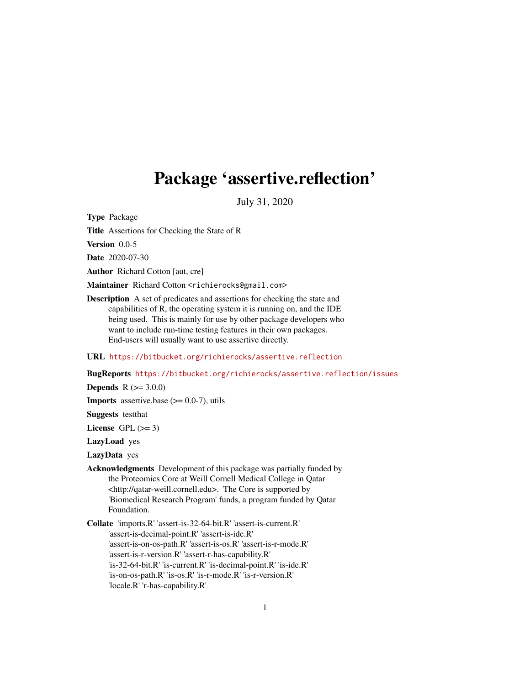# <span id="page-0-0"></span>Package 'assertive.reflection'

July 31, 2020

Type Package

Title Assertions for Checking the State of R

Version 0.0-5

Date 2020-07-30

Author Richard Cotton [aut, cre]

Maintainer Richard Cotton <richierocks@gmail.com>

Description A set of predicates and assertions for checking the state and capabilities of R, the operating system it is running on, and the IDE being used. This is mainly for use by other package developers who want to include run-time testing features in their own packages. End-users will usually want to use assertive directly.

URL <https://bitbucket.org/richierocks/assertive.reflection>

BugReports <https://bitbucket.org/richierocks/assertive.reflection/issues>

**Depends**  $R (= 3.0.0)$ 

**Imports** assertive.base  $(>= 0.0 - 7)$ , utils

Suggests testthat

License GPL  $(>= 3)$ 

LazyLoad yes

LazyData yes

Acknowledgments Development of this package was partially funded by the Proteomics Core at Weill Cornell Medical College in Qatar <http://qatar-weill.cornell.edu>. The Core is supported by 'Biomedical Research Program' funds, a program funded by Qatar Foundation.

Collate 'imports.R' 'assert-is-32-64-bit.R' 'assert-is-current.R' 'assert-is-decimal-point.R' 'assert-is-ide.R' 'assert-is-on-os-path.R' 'assert-is-os.R' 'assert-is-r-mode.R' 'assert-is-r-version.R' 'assert-r-has-capability.R' 'is-32-64-bit.R' 'is-current.R' 'is-decimal-point.R' 'is-ide.R' 'is-on-os-path.R' 'is-os.R' 'is-r-mode.R' 'is-r-version.R' 'locale.R' 'r-has-capability.R'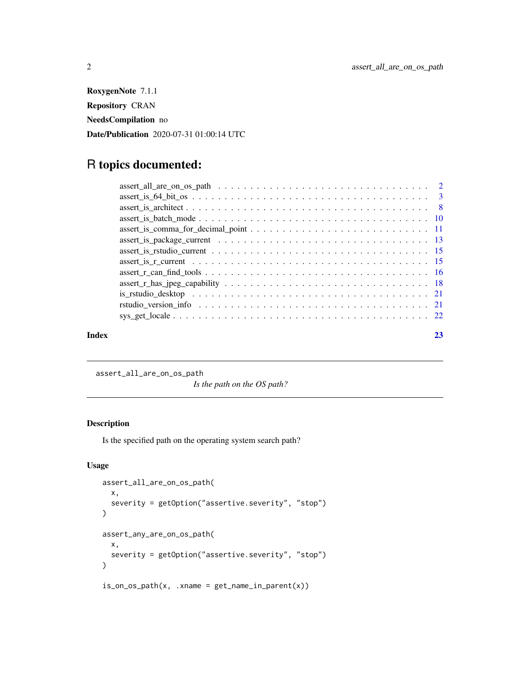<span id="page-1-0"></span>RoxygenNote 7.1.1 Repository CRAN NeedsCompilation no Date/Publication 2020-07-31 01:00:14 UTC

# R topics documented:

#### **Index** [23](#page-22-0)

assert\_all\_are\_on\_os\_path

*Is the path on the OS path?*

# Description

Is the specified path on the operating system search path?

```
assert_all_are_on_os_path(
 x,
 severity = getOption("assertive.severity", "stop")
)
assert_any_are_on_os_path(
 x,
 severity = getOption("assertive.severity", "stop")
\mathcal{L}is\_on\_os\_path(x, xname = get\_name_in\_parent(x))
```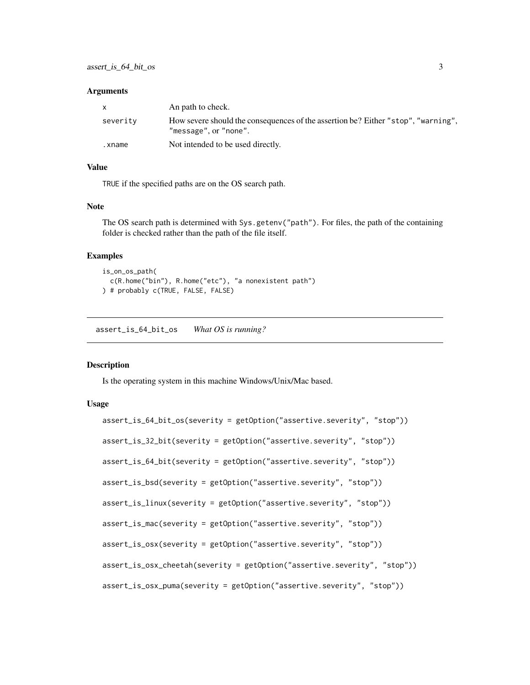<span id="page-2-0"></span>

| $\mathsf{x}$ | An path to check.                                                                                          |
|--------------|------------------------------------------------------------------------------------------------------------|
| severity     | How severe should the consequences of the assertion be? Either "stop", "warning",<br>"message", or "none". |
| .xname       | Not intended to be used directly.                                                                          |

# Value

TRUE if the specified paths are on the OS search path.

#### Note

The OS search path is determined with Sys.getenv("path"). For files, the path of the containing folder is checked rather than the path of the file itself.

# Examples

```
is_on_os_path(
  c(R.home("bin"), R.home("etc"), "a nonexistent path")
) # probably c(TRUE, FALSE, FALSE)
```
assert\_is\_64\_bit\_os *What OS is running?*

# Description

Is the operating system in this machine Windows/Unix/Mac based.

```
assert_is_64_bit_os(severity = getOption("assertive.severity", "stop"))
assert_is_32_bit(severity = getOption("assertive.severity", "stop"))
assert_is_64_bit(severity = getOption("assertive.severity", "stop"))
assert_is_bsd(severity = getOption("assertive.severity", "stop"))
assert_is_linux(severity = getOption("assertive.severity", "stop"))
assert_is_mac(severity = getOption("assertive.severity", "stop"))
assert_is_osx(severity = getOption("assertive.severity", "stop"))
assert_is_osx_cheetah(severity = getOption("assertive.severity", "stop"))
assert_is_osx_puma(severity = getOption("assertive.severity", "stop"))
```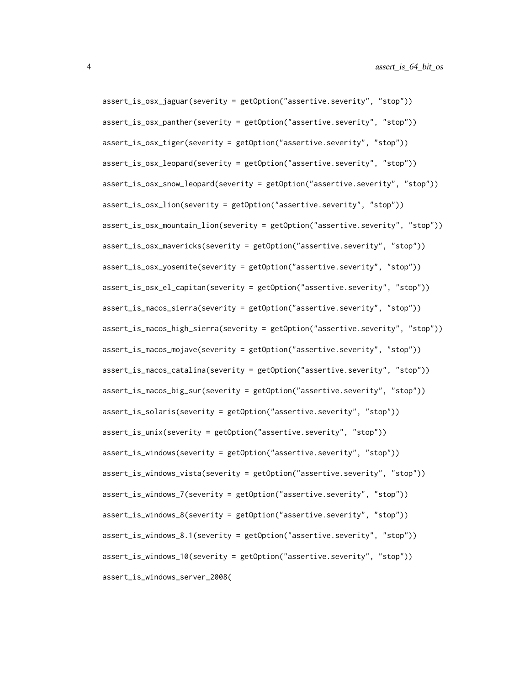assert\_is\_osx\_jaguar(severity = getOption("assertive.severity", "stop")) assert\_is\_osx\_panther(severity = getOption("assertive.severity", "stop")) assert\_is\_osx\_tiger(severity = getOption("assertive.severity", "stop")) assert\_is\_osx\_leopard(severity = getOption("assertive.severity", "stop")) assert\_is\_osx\_snow\_leopard(severity = getOption("assertive.severity", "stop")) assert\_is\_osx\_lion(severity = getOption("assertive.severity", "stop")) assert\_is\_osx\_mountain\_lion(severity = getOption("assertive.severity", "stop")) assert\_is\_osx\_mavericks(severity = getOption("assertive.severity", "stop")) assert\_is\_osx\_yosemite(severity = getOption("assertive.severity", "stop")) assert\_is\_osx\_el\_capitan(severity = getOption("assertive.severity", "stop")) assert\_is\_macos\_sierra(severity = getOption("assertive.severity", "stop")) assert\_is\_macos\_high\_sierra(severity = getOption("assertive.severity", "stop")) assert\_is\_macos\_mojave(severity = getOption("assertive.severity", "stop")) assert\_is\_macos\_catalina(severity = getOption("assertive.severity", "stop")) assert\_is\_macos\_big\_sur(severity = getOption("assertive.severity", "stop")) assert\_is\_solaris(severity = getOption("assertive.severity", "stop")) assert\_is\_unix(severity = getOption("assertive.severity", "stop")) assert\_is\_windows(severity = getOption("assertive.severity", "stop")) assert\_is\_windows\_vista(severity = getOption("assertive.severity", "stop")) assert\_is\_windows\_7(severity = getOption("assertive.severity", "stop")) assert\_is\_windows\_8(severity = getOption("assertive.severity", "stop")) assert\_is\_windows\_8.1(severity = getOption("assertive.severity", "stop")) assert\_is\_windows\_10(severity = getOption("assertive.severity", "stop")) assert\_is\_windows\_server\_2008(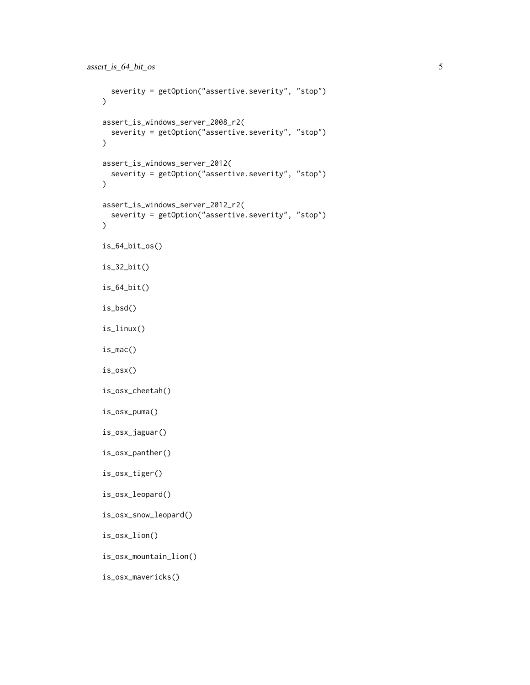```
severity = getOption("assertive.severity", "stop")
\lambdaassert_is_windows_server_2008_r2(
 severity = getOption("assertive.severity", "stop")
\mathcal{L}assert_is_windows_server_2012(
 severity = getOption("assertive.severity", "stop")
)
assert_is_windows_server_2012_r2(
 severity = getOption("assertive.severity", "stop")
)
is_64_bit_os()
is_32_bit()
is_64_bit()
is_bsd()
is_linux()
is_mac()
is_osx()
is_osx_cheetah()
is_osx_puma()
is_osx_jaguar()
is_osx_panther()
is_osx_tiger()
is_osx_leopard()
is_osx_snow_leopard()
is_osx_lion()
is_osx_mountain_lion()
is_osx_mavericks()
```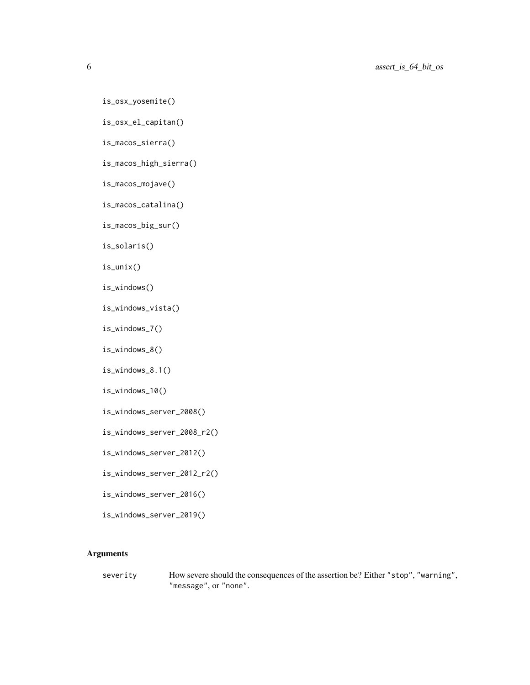```
is_osx_yosemite()
```

```
is_osx_el_capitan()
```
is\_macos\_sierra()

is\_macos\_high\_sierra()

```
is_macos_mojave()
```

```
is_macos_catalina()
```

```
is_macos_big_sur()
```
is\_solaris()

is\_unix()

```
is_windows()
```
is\_windows\_vista()

```
is_windows_7()
```
is\_windows\_8()

```
is_windows_8.1()
```

```
is_windows_10()
```
- is\_windows\_server\_2008()
- is\_windows\_server\_2008\_r2()
- is\_windows\_server\_2012()
- is\_windows\_server\_2012\_r2()
- is\_windows\_server\_2016()

is\_windows\_server\_2019()

# Arguments

severity How severe should the consequences of the assertion be? Either "stop", "warning", "message", or "none".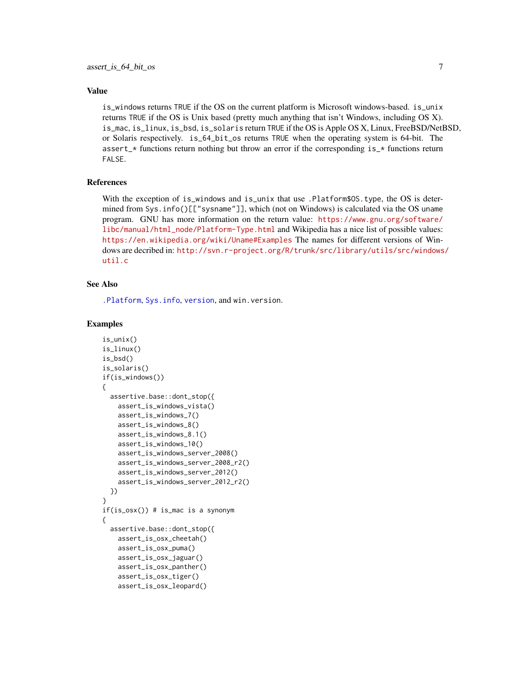#### <span id="page-6-0"></span>Value

is\_windows returns TRUE if the OS on the current platform is Microsoft windows-based. is\_unix returns TRUE if the OS is Unix based (pretty much anything that isn't Windows, including OS X). is\_mac, is\_linux, is\_bsd, is\_solaris return TRUE if the OS is Apple OS X, Linux, FreeBSD/NetBSD, or Solaris respectively. is\_64\_bit\_os returns TRUE when the operating system is 64-bit. The assert\_ $*$  functions return nothing but throw an error if the corresponding is\_ $*$  functions return FALSE.

#### References

With the exception of is\_windows and is\_unix that use .Platform\$0S.type, the OS is determined from Sys.info()[["sysname"]], which (not on Windows) is calculated via the OS uname program. GNU has more information on the return value: [https://www.gnu.org/software/](https://www.gnu.org/software/libc/manual/html_node/Platform-Type.html) [libc/manual/html\\_node/Platform-Type.html](https://www.gnu.org/software/libc/manual/html_node/Platform-Type.html) and Wikipedia has a nice list of possible values: <https://en.wikipedia.org/wiki/Uname#Examples> The names for different versions of Windows are decribed in: [http://svn.r-project.org/R/trunk/src/library/utils/src/windows](http://svn.r-project.org/R/trunk/src/library/utils/src/windows/util.c)/ [util.c](http://svn.r-project.org/R/trunk/src/library/utils/src/windows/util.c)

# See Also

[.Platform](#page-0-0), [Sys.info](#page-0-0), [version](#page-0-0), and win.version.

```
is_unix()
is_linux()
is_bsd()
is_solaris()
if(is_windows())
{
 assertive.base::dont_stop({
   assert_is_windows_vista()
   assert_is_windows_7()
   assert_is_windows_8()
   assert_is_windows_8.1()
   assert_is_windows_10()
   assert_is_windows_server_2008()
   assert_is_windows_server_2008_r2()
   assert_is_windows_server_2012()
    assert_is_windows_server_2012_r2()
 })
}
if(is_osx()) # is_mac is a synonym
{
 assertive.base::dont_stop({
   assert_is_osx_cheetah()
   assert_is_osx_puma()
   assert_is_osx_jaguar()
    assert_is_osx_panther()
    assert_is_osx_tiger()
    assert_is_osx_leopard()
```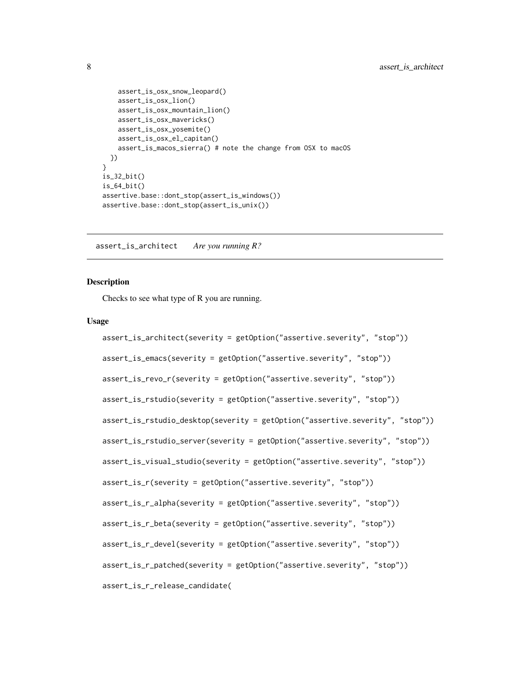```
assert_is_osx_snow_leopard()
   assert_is_osx_lion()
   assert_is_osx_mountain_lion()
   assert_is_osx_mavericks()
   assert_is_osx_yosemite()
   assert_is_osx_el_capitan()
   assert_is_macos_sierra() # note the change from OSX to macOS
 })
}
is_32_bit()
is_64_bit()
assertive.base::dont_stop(assert_is_windows())
assertive.base::dont_stop(assert_is_unix())
```
assert\_is\_architect *Are you running R?*

#### <span id="page-7-1"></span>**Description**

Checks to see what type of R you are running.

```
assert_is_architect(severity = getOption("assertive.severity", "stop"))
assert_is_emacs(severity = getOption("assertive.severity", "stop"))
assert_is_revo_r(severity = getOption("assertive.severity", "stop"))
assert_is_rstudio(severity = getOption("assertive.severity", "stop"))
assert_is_rstudio_desktop(severity = getOption("assertive.severity", "stop"))
assert_is_rstudio_server(severity = getOption("assertive.severity", "stop"))
assert_is_visual_studio(severity = getOption("assertive.severity", "stop"))
assert_is_r(severity = getOption("assertive.severity", "stop"))
assert_is_r_alpha(severity = getOption("assertive.severity", "stop"))
assert_is_r_beta(severity = getOption("assertive.severity", "stop"))
assert_is_r_devel(severity = getOption("assertive.severity", "stop"))
assert_is_r_patched(severity = getOption("assertive.severity", "stop"))
assert_is_r_release_candidate(
```
<span id="page-7-0"></span>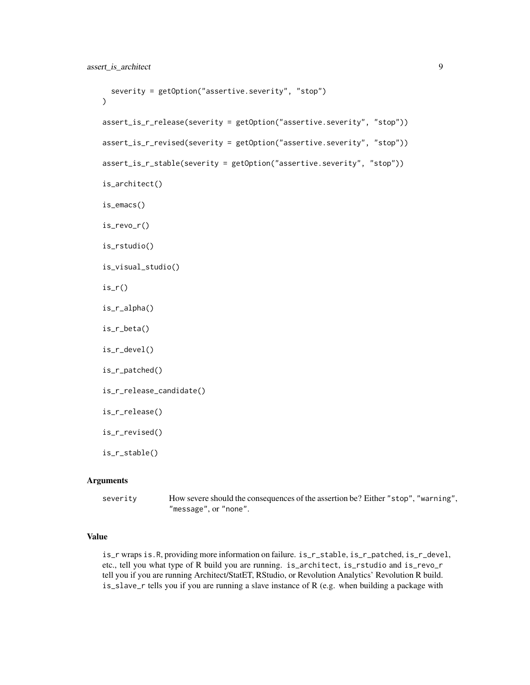```
severity = getOption("assertive.severity", "stop")
\lambdaassert_is_r_release(severity = getOption("assertive.severity", "stop"))
assert_is_r_revised(severity = getOption("assertive.severity", "stop"))
assert_is_r_stable(severity = getOption("assertive.severity", "stop"))
is_architect()
is_emacs()
is_revo_r()
is_rstudio()
is_visual_studio()
is_r()is_r_alpha()
is_r_beta()
is_r_devel()
is_r_patched()
is_r_release_candidate()
is_r_release()
is_r_revised()
is_r_stable()
```
severity How severe should the consequences of the assertion be? Either "stop", "warning", "message", or "none".

# Value

is\_r wraps is.R, providing more information on failure. is\_r\_stable, is\_r\_patched, is\_r\_devel, etc., tell you what type of R build you are running. is\_architect, is\_rstudio and is\_revo\_r tell you if you are running Architect/StatET, RStudio, or Revolution Analytics' Revolution R build. is\_slave\_r tells you if you are running a slave instance of R (e.g. when building a package with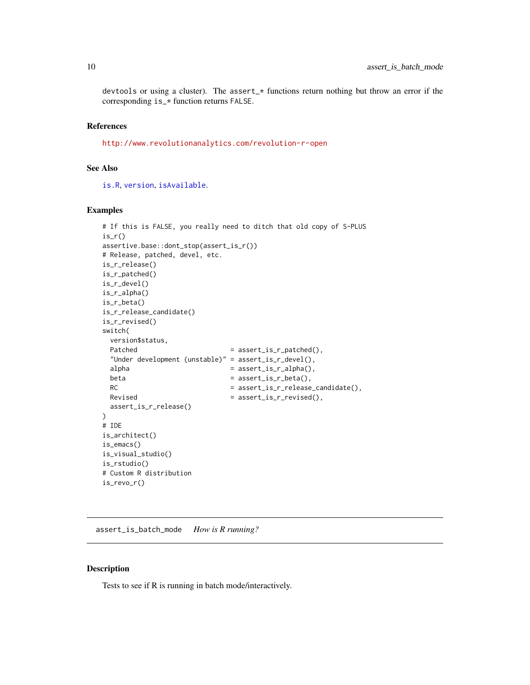<span id="page-9-0"></span>devtools or using a cluster). The assert\_ $*$  functions return nothing but throw an error if the corresponding is\_\* function returns FALSE.

#### References

<http://www.revolutionanalytics.com/revolution-r-open>

#### See Also

[is.R](#page-0-0), [version](#page-0-0), [isAvailable](#page-0-0).

# Examples

```
# If this is FALSE, you really need to ditch that old copy of S-PLUS
is_r()assertive.base::dont_stop(assert_is_r())
# Release, patched, devel, etc.
is_r_release()
is_r_patched()
is_r_devel()
is_r_alpha()
is_r_beta()
is_r_release_candidate()
is_r_revised()
switch(
 version$status,
 Patched = assert_is_r_patched(),
 "Under development (unstable)" = assert_is_r_devel(),
 alpha = assert_is_r_alpha(),
 beta = assert_is_rebeta(),RC = assert_is_r_release_candidate(),
 Revised = assert_is_r_revised(),
 assert_is_r_release()
)
# IDE
is_architect()
is_emacs()
is_visual_studio()
is_rstudio()
# Custom R distribution
is_revo_r()
```
assert\_is\_batch\_mode *How is R running?*

#### Description

Tests to see if R is running in batch mode/interactively.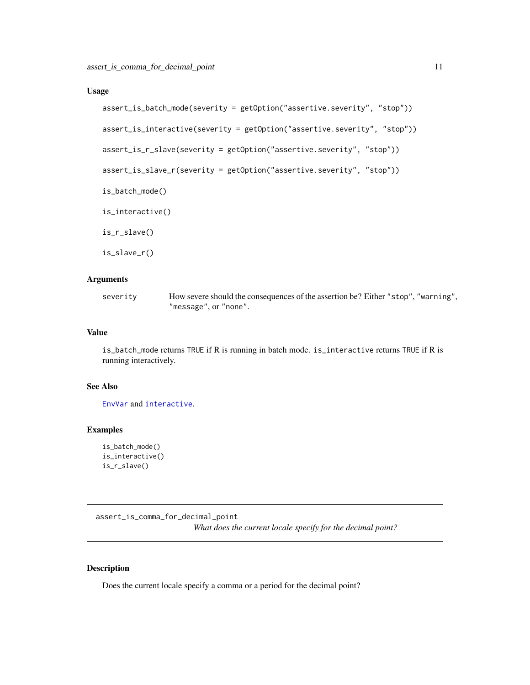#### <span id="page-10-0"></span>Usage

```
assert_is_batch_mode(severity = getOption("assertive.severity", "stop"))
assert_is_interactive(severity = getOption("assertive.severity", "stop"))
```
assert\_is\_r\_slave(severity = getOption("assertive.severity", "stop"))

```
assert_is_slave_r(severity = getOption("assertive.severity", "stop"))
```
is\_batch\_mode()

is\_interactive()

is\_r\_slave()

is\_slave\_r()

#### Arguments

severity How severe should the consequences of the assertion be? Either "stop", "warning", "message", or "none".

#### Value

is\_batch\_mode returns TRUE if R is running in batch mode. is\_interactive returns TRUE if R is running interactively.

#### See Also

[EnvVar](#page-0-0) and [interactive](#page-0-0).

#### Examples

```
is_batch_mode()
is_interactive()
is_r_slave()
```
assert\_is\_comma\_for\_decimal\_point *What does the current locale specify for the decimal point?*

#### Description

Does the current locale specify a comma or a period for the decimal point?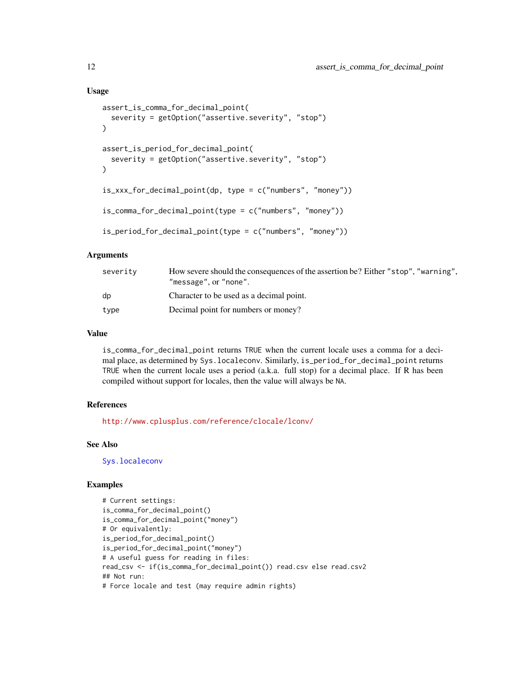#### Usage

```
assert_is_comma_for_decimal_point(
  severity = getOption("assertive.severity", "stop")
)
assert_is_period_for_decimal_point(
  severity = getOption("assertive.severity", "stop")
\lambdais_xxx_for_decimal_point(dp, type = c("numbers", "money"))
is_comma_for_decimal_point(type = c("numbers", "money"))
is_period_for_decimal_point(type = c("numbers", "money"))
```
#### Arguments

| severity | How severe should the consequences of the assertion be? Either "stop", "warning",<br>"message", or "none". |
|----------|------------------------------------------------------------------------------------------------------------|
| dp       | Character to be used as a decimal point.                                                                   |
| type     | Decimal point for numbers or money?                                                                        |

# Value

is\_comma\_for\_decimal\_point returns TRUE when the current locale uses a comma for a decimal place, as determined by Sys.localeconv. Similarly, is\_period\_for\_decimal\_point returns TRUE when the current locale uses a period (a.k.a. full stop) for a decimal place. If R has been compiled without support for locales, then the value will always be NA.

# References

<http://www.cplusplus.com/reference/clocale/lconv/>

#### See Also

[Sys.localeconv](#page-0-0)

```
# Current settings:
is_comma_for_decimal_point()
is_comma_for_decimal_point("money")
# Or equivalently:
is_period_for_decimal_point()
is_period_for_decimal_point("money")
# A useful guess for reading in files:
read_csv <- if(is_comma_for_decimal_point()) read.csv else read.csv2
## Not run:
# Force locale and test (may require admin rights)
```
<span id="page-11-0"></span>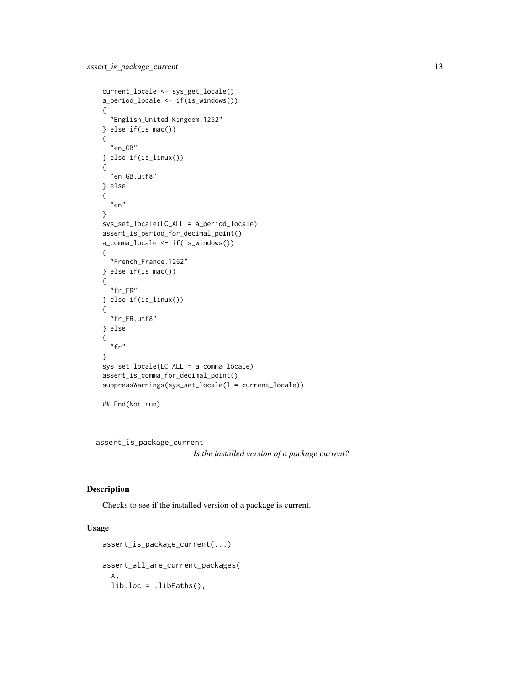```
current_locale <- sys_get_locale()
a_period_locale <- if(is_windows())
{
  "English_United Kingdom.1252"
} else if(is_mac())
{
 "en_GB"
} else if(is_linux())
{
 "en_GB.utf8"
} else
{
  "en"
}
sys_set_locale(LC_ALL = a_period_locale)
assert_is_period_for_decimal_point()
a_comma_locale <- if(is_windows())
{
  "French_France.1252"
} else if(is_mac())
{
  "fr_FR"
} else if(is_linux())
{
  "fr_FR.utf8"
} else
{
 "fr"
}
sys_set_locale(LC_ALL = a_comma_locale)
assert_is_comma_for_decimal_point()
suppressWarnings(sys_set_locale(l = current_locale))
## End(Not run)
```
assert\_is\_package\_current

*Is the installed version of a package current?*

#### Description

Checks to see if the installed version of a package is current.

```
assert_is_package_current(...)
assert_all_are_current_packages(
  x,
 lib.loc = .libPaths(),
```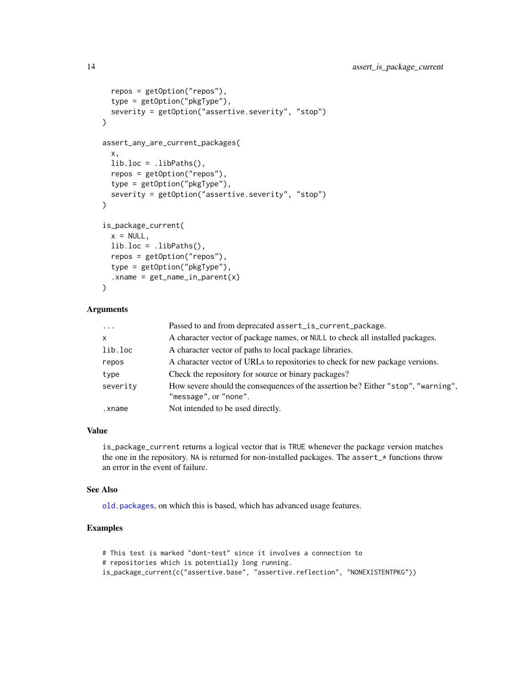```
repos = getOption("repos"),
  type = getOption("pkgType"),
  severity = getOption("assertive.severity", "stop")
\lambdaassert_any_are_current_packages(
 x,
 lib.loc = .libPaths(),
  repos = getOption("repos"),
  type = getOption("pkgType"),
  severity = getOption("assertive.severity", "stop")
\mathcal{L}is_package_current(
 x = NULL,lib.loc = libPaths(),repos = getOption("repos"),
  type = getOption("pkgType"),
  :xname = get_name_in\_parent(x)\mathcal{L}
```

| $\ddots$     | Passed to and from deprecated assert_is_current_package.                                                   |
|--------------|------------------------------------------------------------------------------------------------------------|
| $\mathsf{x}$ | A character vector of package names, or NULL to check all installed packages.                              |
| lib.loc      | A character vector of paths to local package libraries.                                                    |
| repos        | A character vector of URLs to repositories to check for new package versions.                              |
| type         | Check the repository for source or binary packages?                                                        |
| severity     | How severe should the consequences of the assertion be? Either "stop", "warning",<br>"message", or "none". |
| .xname       | Not intended to be used directly.                                                                          |
|              |                                                                                                            |

# Value

is\_package\_current returns a logical vector that is TRUE whenever the package version matches the one in the repository. NA is returned for non-installed packages. The assert\_\* functions throw an error in the event of failure.

# See Also

[old.packages](#page-0-0), on which this is based, which has advanced usage features.

```
# This test is marked "dont-test" since it involves a connection to
# repositories which is potentially long running.
is_package_current(c("assertive.base", "assertive.reflection", "NONEXISTENTPKG"))
```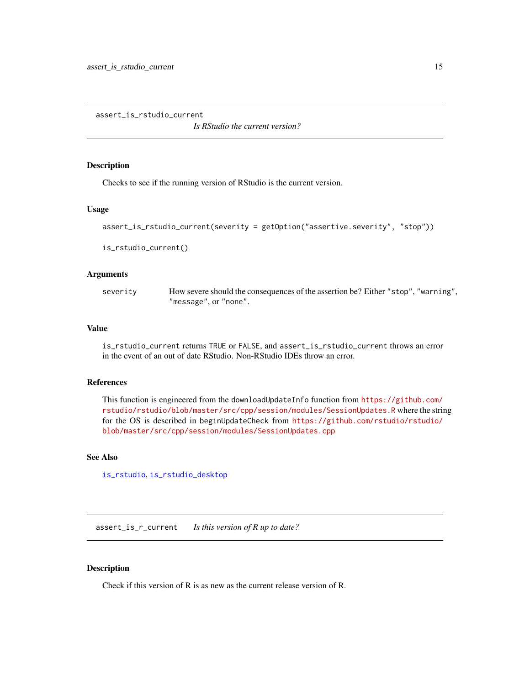<span id="page-14-0"></span>assert\_is\_rstudio\_current

*Is RStudio the current version?*

# <span id="page-14-1"></span>Description

Checks to see if the running version of RStudio is the current version.

# Usage

```
assert_is_rstudio_current(severity = getOption("assertive.severity", "stop"))
```
is\_rstudio\_current()

#### Arguments

severity How severe should the consequences of the assertion be? Either "stop", "warning", "message", or "none".

# Value

is\_rstudio\_current returns TRUE or FALSE, and assert\_is\_rstudio\_current throws an error in the event of an out of date RStudio. Non-RStudio IDEs throw an error.

#### References

This function is engineered from the downloadUpdateInfo function from [https://github.com/](https://github.com/rstudio/rstudio/blob/master/src/cpp/session/modules/SessionUpdates.R) [rstudio/rstudio/blob/master/src/cpp/session/modules/SessionUpdates.R](https://github.com/rstudio/rstudio/blob/master/src/cpp/session/modules/SessionUpdates.R) where the string for the OS is described in beginUpdateCheck from [https://github.com/rstudio/rstudio/](https://github.com/rstudio/rstudio/blob/master/src/cpp/session/modules/SessionUpdates.cpp) [blob/master/src/cpp/session/modules/SessionUpdates.cpp](https://github.com/rstudio/rstudio/blob/master/src/cpp/session/modules/SessionUpdates.cpp)

# See Also

[is\\_rstudio](#page-7-1), [is\\_rstudio\\_desktop](#page-20-1)

assert\_is\_r\_current *Is this version of R up to date?*

#### Description

Check if this version of R is as new as the current release version of R.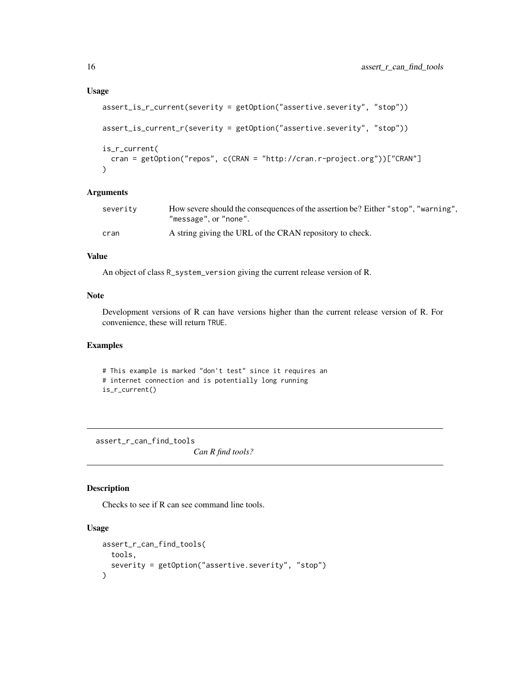```
assert_is_r_current(severity = getOption("assertive.severity", "stop"))
assert_is_current_r(severity = getOption("assertive.severity", "stop"))
is_r_current(
 cran = getOption("repos", c(CRAN = "http://cran.r-project.org"))["CRAN"]
)
```

| severity | How severe should the consequences of the assertion be? Either "stop", "warning",<br>"message".or"none". |
|----------|----------------------------------------------------------------------------------------------------------|
| cran     | A string giving the URL of the CRAN repository to check.                                                 |

#### Value

An object of class R\_system\_version giving the current release version of R.

# Note

Development versions of R can have versions higher than the current release version of R. For convenience, these will return TRUE.

# Examples

# This example is marked "don't test" since it requires an # internet connection and is potentially long running is\_r\_current()

assert\_r\_can\_find\_tools *Can R find tools?*

#### Description

Checks to see if R can see command line tools.

```
assert_r_can_find_tools(
 tools,
  severity = getOption("assertive.severity", "stop")
\lambda
```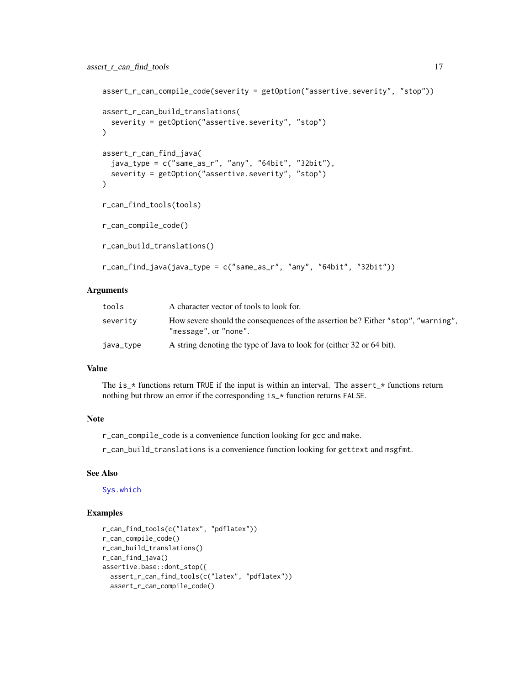```
assert_r_can_compile_code(severity = getOption("assertive.severity", "stop"))
assert_r_can_build_translations(
  severity = getOption("assertive.severity", "stop")
\lambdaassert_r_can_find_java(
  java_type = c("same_as_r", "any", "64bit", "32bit"),
  severity = getOption("assertive.severity", "stop")
\lambdar_can_find_tools(tools)
r_can_compile_code()
r_can_build_translations()
r_can_find_java(java_type = c("same_as_r", "any", "64bit", "32bit"))
```

| tools     | A character vector of tools to look for.                                                                   |
|-----------|------------------------------------------------------------------------------------------------------------|
| severity  | How severe should the consequences of the assertion be? Either "stop", "warning",<br>"message", or "none". |
| java_type | A string denoting the type of Java to look for (either 32 or 64 bit).                                      |

#### Value

The is\_ $*$  functions return TRUE if the input is within an interval. The assert\_ $*$  functions return nothing but throw an error if the corresponding is\_\* function returns FALSE.

# Note

r\_can\_compile\_code is a convenience function looking for gcc and make.

r\_can\_build\_translations is a convenience function looking for gettext and msgfmt.

# See Also

[Sys.which](#page-0-0)

```
r_can_find_tools(c("latex", "pdflatex"))
r_can_compile_code()
r_can_build_translations()
r_can_find_java()
assertive.base::dont_stop({
 assert_r_can_find_tools(c("latex", "pdflatex"))
  assert_r_can_compile_code()
```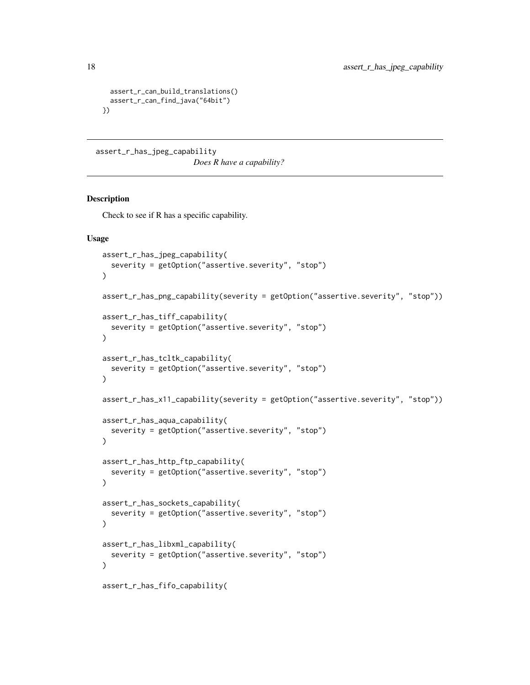```
assert_r_can_build_translations()
  assert_r_can_find_java("64bit")
})
```
assert\_r\_has\_jpeg\_capability

*Does R have a capability?*

# Description

Check to see if R has a specific capability.

```
assert_r_has_jpeg_capability(
  severity = getOption("assertive.severity", "stop")
\mathcal{L}assert_r_has_png_capability(severity = getOption("assertive.severity", "stop"))
assert_r_has_tiff_capability(
  severity = getOption("assertive.severity", "stop")
)
assert_r_has_tcltk_capability(
  severity = getOption("assertive.severity", "stop")
\lambdaassert_r_has_x11_capability(severity = getOption("assertive.severity", "stop"))
assert_r_has_aqua_capability(
  severity = getOption("assertive.severity", "stop")
\lambdaassert_r_has_http_ftp_capability(
  severity = getOption("assertive.severity", "stop")
\mathcal{L}assert_r_has_sockets_capability(
  severity = getOption("assertive.severity", "stop")
\lambdaassert_r_has_libxml_capability(
  severity = getOption("assertive.severity", "stop")
\lambdaassert_r_has_fifo_capability(
```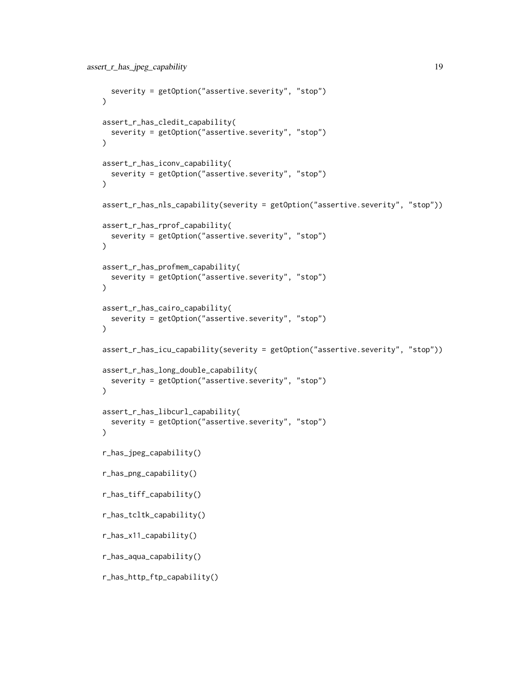```
severity = getOption("assertive.severity", "stop")
\lambdaassert_r_has_cledit_capability(
  severity = getOption("assertive.severity", "stop")
\mathcal{L}assert_r_has_iconv_capability(
  severity = getOption("assertive.severity", "stop")
)
assert_r_has_nls_capability(severity = getOption("assertive.severity", "stop"))
assert_r_has_rprof_capability(
  severity = getOption("assertive.severity", "stop")
)
assert_r_has_profmem_capability(
  severity = getOption("assertive.severity", "stop")
\lambdaassert_r_has_cairo_capability(
  severity = getOption("assertive.severity", "stop")
\lambdaassert_r_has_icu_capability(severity = getOption("assertive.severity", "stop"))
assert_r_has_long_double_capability(
  severity = getOption("assertive.severity", "stop")
\mathcal{L}assert_r_has_libcurl_capability(
  severity = getOption("assertive.severity", "stop")
\lambdar_has_jpeg_capability()
r_has_png_capability()
r_has_tiff_capability()
r_has_tcltk_capability()
r_has_x11_capability()
r_has_aqua_capability()
r_has_http_ftp_capability()
```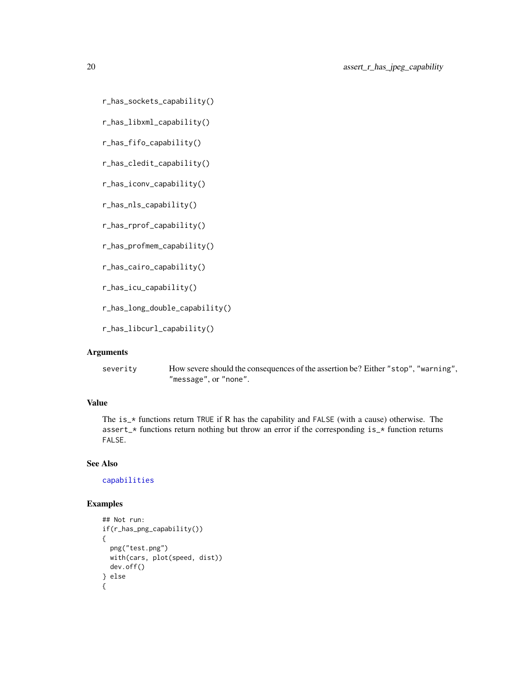```
r_has_sockets_capability()
```
r\_has\_libxml\_capability()

r\_has\_fifo\_capability()

r\_has\_cledit\_capability()

r\_has\_iconv\_capability()

r\_has\_nls\_capability()

r\_has\_rprof\_capability()

r\_has\_profmem\_capability()

r\_has\_cairo\_capability()

r\_has\_icu\_capability()

r\_has\_long\_double\_capability()

r\_has\_libcurl\_capability()

# Arguments

severity How severe should the consequences of the assertion be? Either "stop", "warning", "message", or "none".

# Value

The is\_\* functions return TRUE if R has the capability and FALSE (with a cause) otherwise. The assert\_\* functions return nothing but throw an error if the corresponding is\_\* function returns FALSE.

#### See Also

[capabilities](#page-0-0)

```
## Not run:
if(r_has_png_capability())
{
 png("test.png")
 with(cars, plot(speed, dist))
 dev.off()
} else
{
```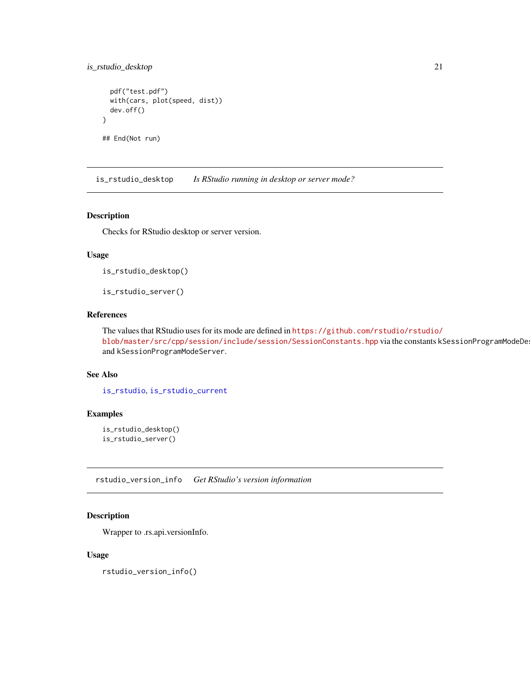# <span id="page-20-0"></span>is\_rstudio\_desktop 21

```
pdf("test.pdf")
 with(cars, plot(speed, dist))
 dev.off()
}
```
## End(Not run)

<span id="page-20-1"></span>is\_rstudio\_desktop *Is RStudio running in desktop or server mode?*

#### Description

Checks for RStudio desktop or server version.

#### Usage

is\_rstudio\_desktop()

is\_rstudio\_server()

# References

The values that RStudio uses for its mode are defined in [https://github.com/rstudio/rstudio/](https://github.com/rstudio/rstudio/blob/master/src/cpp/session/include/session/SessionConstants.hpp) [blob/master/src/cpp/session/include/session/SessionConstants.hpp](https://github.com/rstudio/rstudio/blob/master/src/cpp/session/include/session/SessionConstants.hpp) via the constants kSessionProgramModeDe and kSessionProgramModeServer.

#### See Also

[is\\_rstudio](#page-7-1), [is\\_rstudio\\_current](#page-14-1)

# Examples

```
is_rstudio_desktop()
is_rstudio_server()
```
rstudio\_version\_info *Get RStudio's version information*

# Description

Wrapper to .rs.api.versionInfo.

# Usage

rstudio\_version\_info()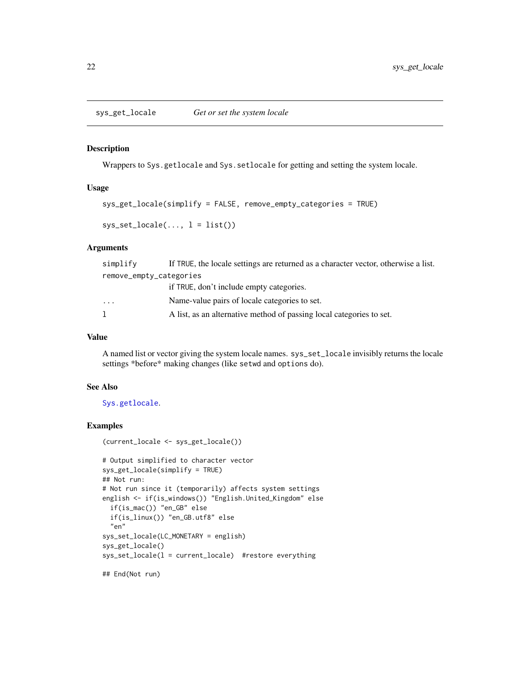<span id="page-21-0"></span>sys\_get\_locale *Get or set the system locale*

#### Description

Wrappers to Sys.getlocale and Sys.setlocale for getting and setting the system locale.

#### Usage

```
sys_get_locale(simplify = FALSE, remove_empty_categories = TRUE)
```

```
sys_set\_locale(..., l = list())
```
# Arguments

| simplify                | If TRUE, the locale settings are returned as a character vector, otherwise a list. |  |
|-------------------------|------------------------------------------------------------------------------------|--|
| remove_empty_categories |                                                                                    |  |
|                         | if TRUE, don't include empty categories.                                           |  |
| .                       | Name-value pairs of locale categories to set.                                      |  |
|                         | A list, as an alternative method of passing local categories to set.               |  |
|                         |                                                                                    |  |

# Value

A named list or vector giving the system locale names. sys\_set\_locale invisibly returns the locale settings \*before\* making changes (like setwd and options do).

#### See Also

[Sys.getlocale](#page-0-0).

```
(current_locale <- sys_get_locale())
```

```
# Output simplified to character vector
sys_get_locale(simplify = TRUE)
## Not run:
# Not run since it (temporarily) affects system settings
english <- if(is_windows()) "English.United_Kingdom" else
 if(is_mac()) "en_GB" else
 if(is_linux()) "en_GB.utf8" else
 "en"
sys_set_locale(LC_MONETARY = english)
sys_get_locale()
sys_set_locale(l = current_locale) #restore everything
```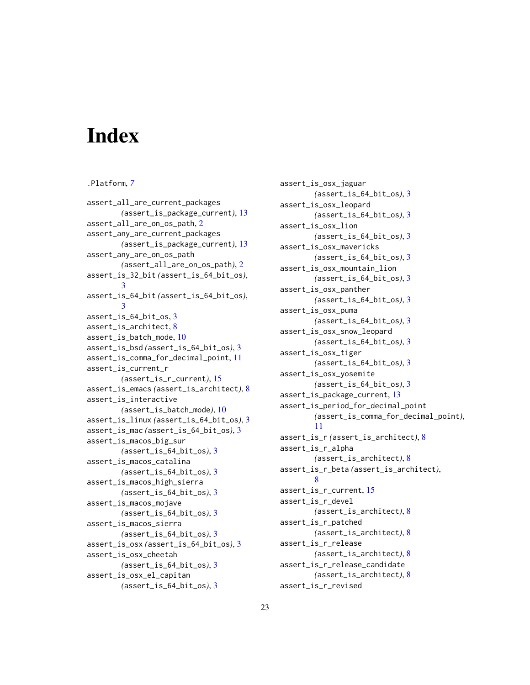# <span id="page-22-0"></span>Index

#### .Platform, *[7](#page-6-0)*

assert\_all\_are\_current\_packages *(*assert\_is\_package\_current*)*, [13](#page-12-0) assert\_all\_are\_on\_os\_path, [2](#page-1-0) assert\_any\_are\_current\_packages *(*assert\_is\_package\_current*)*, [13](#page-12-0) assert\_any\_are\_on\_os\_path *(*assert\_all\_are\_on\_os\_path*)*, [2](#page-1-0) assert\_is\_32\_bit *(*assert\_is\_64\_bit\_os*)*, [3](#page-2-0) assert\_is\_64\_bit *(*assert\_is\_64\_bit\_os*)*, [3](#page-2-0) assert\_is\_64\_bit\_os, [3](#page-2-0) assert\_is\_architect, [8](#page-7-0) assert\_is\_batch\_mode, [10](#page-9-0) assert\_is\_bsd *(*assert\_is\_64\_bit\_os*)*, [3](#page-2-0) assert\_is\_comma\_for\_decimal\_point, [11](#page-10-0) assert\_is\_current\_r *(*assert\_is\_r\_current*)*, [15](#page-14-0) assert\_is\_emacs *(*assert\_is\_architect*)*, [8](#page-7-0) assert\_is\_interactive *(*assert\_is\_batch\_mode*)*, [10](#page-9-0) assert\_is\_linux *(*assert\_is\_64\_bit\_os*)*, [3](#page-2-0) assert\_is\_mac *(*assert\_is\_64\_bit\_os*)*, [3](#page-2-0) assert\_is\_macos\_big\_sur *(*assert\_is\_64\_bit\_os*)*, [3](#page-2-0) assert\_is\_macos\_catalina *(*assert\_is\_64\_bit\_os*)*, [3](#page-2-0) assert\_is\_macos\_high\_sierra *(*assert\_is\_64\_bit\_os*)*, [3](#page-2-0) assert\_is\_macos\_mojave *(*assert\_is\_64\_bit\_os*)*, [3](#page-2-0) assert\_is\_macos\_sierra *(*assert\_is\_64\_bit\_os*)*, [3](#page-2-0) assert\_is\_osx *(*assert\_is\_64\_bit\_os*)*, [3](#page-2-0) assert\_is\_osx\_cheetah *(*assert\_is\_64\_bit\_os*)*, [3](#page-2-0) assert\_is\_osx\_el\_capitan *(*assert\_is\_64\_bit\_os*)*, [3](#page-2-0)

assert\_is\_osx\_jaguar *(*assert\_is\_64\_bit\_os*)*, [3](#page-2-0) assert\_is\_osx\_leopard *(*assert\_is\_64\_bit\_os*)*, [3](#page-2-0) assert\_is\_osx\_lion *(*assert\_is\_64\_bit\_os*)*, [3](#page-2-0) assert\_is\_osx\_mavericks *(*assert\_is\_64\_bit\_os*)*, [3](#page-2-0) assert\_is\_osx\_mountain\_lion *(*assert\_is\_64\_bit\_os*)*, [3](#page-2-0) assert\_is\_osx\_panther *(*assert\_is\_64\_bit\_os*)*, [3](#page-2-0) assert\_is\_osx\_puma *(*assert\_is\_64\_bit\_os*)*, [3](#page-2-0) assert\_is\_osx\_snow\_leopard *(*assert\_is\_64\_bit\_os*)*, [3](#page-2-0) assert\_is\_osx\_tiger *(*assert\_is\_64\_bit\_os*)*, [3](#page-2-0) assert\_is\_osx\_yosemite *(*assert\_is\_64\_bit\_os*)*, [3](#page-2-0) assert\_is\_package\_current, [13](#page-12-0) assert\_is\_period\_for\_decimal\_point *(*assert\_is\_comma\_for\_decimal\_point*)*, [11](#page-10-0) assert\_is\_r *(*assert\_is\_architect*)*, [8](#page-7-0) assert\_is\_r\_alpha *(*assert\_is\_architect*)*, [8](#page-7-0) assert\_is\_r\_beta *(*assert\_is\_architect*)*, [8](#page-7-0) assert\_is\_r\_current, [15](#page-14-0) assert\_is\_r\_devel *(*assert\_is\_architect*)*, [8](#page-7-0) assert\_is\_r\_patched *(*assert\_is\_architect*)*, [8](#page-7-0) assert\_is\_r\_release *(*assert\_is\_architect*)*, [8](#page-7-0) assert\_is\_r\_release\_candidate *(*assert\_is\_architect*)*, [8](#page-7-0) assert\_is\_r\_revised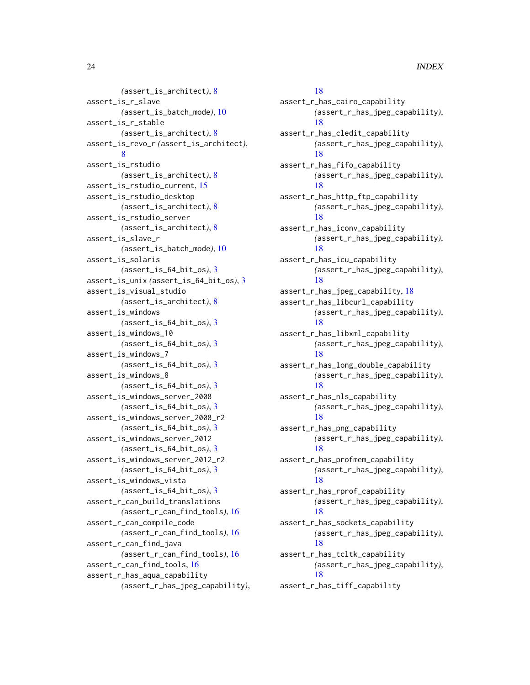*(*assert\_is\_architect*)*, [8](#page-7-0) assert\_is\_r\_slave *(*assert\_is\_batch\_mode*)*, [10](#page-9-0) assert\_is\_r\_stable *(*assert\_is\_architect*)*, [8](#page-7-0) assert\_is\_revo\_r *(*assert\_is\_architect*)*, [8](#page-7-0) assert\_is\_rstudio *(*assert\_is\_architect*)*, [8](#page-7-0) assert\_is\_rstudio\_current, [15](#page-14-0) assert\_is\_rstudio\_desktop *(*assert\_is\_architect*)*, [8](#page-7-0) assert\_is\_rstudio\_server *(*assert\_is\_architect*)*, [8](#page-7-0) assert\_is\_slave\_r *(*assert\_is\_batch\_mode*)*, [10](#page-9-0) assert\_is\_solaris *(*assert\_is\_64\_bit\_os*)*, [3](#page-2-0) assert\_is\_unix *(*assert\_is\_64\_bit\_os*)*, [3](#page-2-0) assert\_is\_visual\_studio *(*assert\_is\_architect*)*, [8](#page-7-0) assert\_is\_windows *(*assert\_is\_64\_bit\_os*)*, [3](#page-2-0) assert\_is\_windows\_10 *(*assert\_is\_64\_bit\_os*)*, [3](#page-2-0) assert\_is\_windows\_7 *(*assert\_is\_64\_bit\_os*)*, [3](#page-2-0) assert\_is\_windows\_8 *(*assert\_is\_64\_bit\_os*)*, [3](#page-2-0) assert\_is\_windows\_server\_2008 *(*assert\_is\_64\_bit\_os*)*, [3](#page-2-0) assert\_is\_windows\_server\_2008\_r2 *(*assert\_is\_64\_bit\_os*)*, [3](#page-2-0) assert\_is\_windows\_server\_2012 *(*assert\_is\_64\_bit\_os*)*, [3](#page-2-0) assert\_is\_windows\_server\_2012\_r2 *(*assert\_is\_64\_bit\_os*)*, [3](#page-2-0) assert\_is\_windows\_vista *(*assert\_is\_64\_bit\_os*)*, [3](#page-2-0) assert\_r\_can\_build\_translations *(*assert\_r\_can\_find\_tools*)*, [16](#page-15-0) assert\_r\_can\_compile\_code *(*assert\_r\_can\_find\_tools*)*, [16](#page-15-0) assert\_r\_can\_find\_java *(*assert\_r\_can\_find\_tools*)*, [16](#page-15-0) assert\_r\_can\_find\_tools, [16](#page-15-0) assert\_r\_has\_aqua\_capability *(*assert\_r\_has\_jpeg\_capability*)*,

# [18](#page-17-0) assert\_r\_has\_cairo\_capability *(*assert\_r\_has\_jpeg\_capability*)*, [18](#page-17-0) assert\_r\_has\_cledit\_capability *(*assert\_r\_has\_jpeg\_capability*)*, [18](#page-17-0) assert\_r\_has\_fifo\_capability *(*assert\_r\_has\_jpeg\_capability*)*, [18](#page-17-0) assert\_r\_has\_http\_ftp\_capability *(*assert\_r\_has\_jpeg\_capability*)*, [18](#page-17-0) assert\_r\_has\_iconv\_capability *(*assert\_r\_has\_jpeg\_capability*)*, [18](#page-17-0) assert\_r\_has\_icu\_capability *(*assert\_r\_has\_jpeg\_capability*)*, [18](#page-17-0) assert\_r\_has\_jpeg\_capability, [18](#page-17-0) assert\_r\_has\_libcurl\_capability *(*assert\_r\_has\_jpeg\_capability*)*, [18](#page-17-0) assert\_r\_has\_libxml\_capability *(*assert\_r\_has\_jpeg\_capability*)*, [18](#page-17-0) assert\_r\_has\_long\_double\_capability *(*assert\_r\_has\_jpeg\_capability*)*, [18](#page-17-0) assert\_r\_has\_nls\_capability *(*assert\_r\_has\_jpeg\_capability*)*, [18](#page-17-0) assert\_r\_has\_png\_capability *(*assert\_r\_has\_jpeg\_capability*)*, [18](#page-17-0) assert\_r\_has\_profmem\_capability *(*assert\_r\_has\_jpeg\_capability*)*, [18](#page-17-0) assert\_r\_has\_rprof\_capability *(*assert\_r\_has\_jpeg\_capability*)*, [18](#page-17-0) assert\_r\_has\_sockets\_capability *(*assert\_r\_has\_jpeg\_capability*)*, [18](#page-17-0) assert\_r\_has\_tcltk\_capability *(*assert\_r\_has\_jpeg\_capability*)*, [18](#page-17-0) assert\_r\_has\_tiff\_capability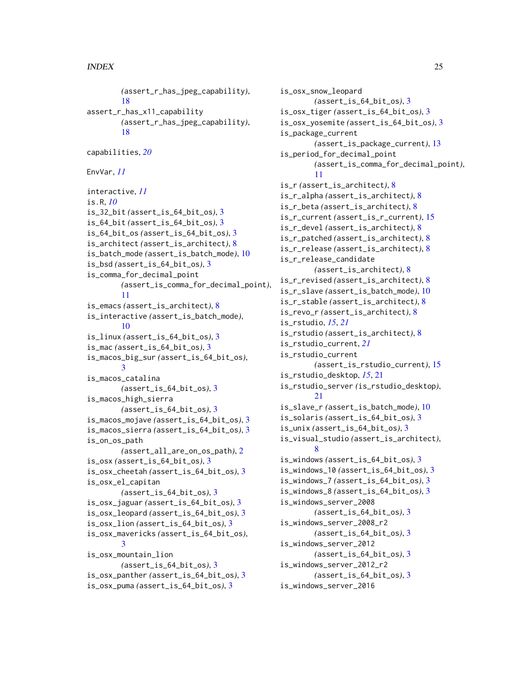*(*assert\_r\_has\_jpeg\_capability*)*, [18](#page-17-0) assert\_r\_has\_x11\_capability *(*assert\_r\_has\_jpeg\_capability*)*, [18](#page-17-0) capabilities, *[20](#page-19-0)* EnvVar, *[11](#page-10-0)* interactive, *[11](#page-10-0)* is.R, *[10](#page-9-0)* is\_32\_bit *(*assert\_is\_64\_bit\_os*)*, [3](#page-2-0) is\_64\_bit *(*assert\_is\_64\_bit\_os*)*, [3](#page-2-0) is\_64\_bit\_os *(*assert\_is\_64\_bit\_os*)*, [3](#page-2-0) is\_architect *(*assert\_is\_architect*)*, [8](#page-7-0) is\_batch\_mode *(*assert\_is\_batch\_mode*)*, [10](#page-9-0) is\_bsd *(*assert\_is\_64\_bit\_os*)*, [3](#page-2-0) is\_comma\_for\_decimal\_point *(*assert\_is\_comma\_for\_decimal\_point*)*, [11](#page-10-0) is\_emacs *(*assert\_is\_architect*)*, [8](#page-7-0) is\_interactive *(*assert\_is\_batch\_mode*)*, [10](#page-9-0) is\_linux *(*assert\_is\_64\_bit\_os*)*, [3](#page-2-0) is\_mac *(*assert\_is\_64\_bit\_os*)*, [3](#page-2-0) is\_macos\_big\_sur *(*assert\_is\_64\_bit\_os*)*, [3](#page-2-0) is\_macos\_catalina *(*assert\_is\_64\_bit\_os*)*, [3](#page-2-0) is\_macos\_high\_sierra *(*assert\_is\_64\_bit\_os*)*, [3](#page-2-0) is\_macos\_mojave *(*assert\_is\_64\_bit\_os*)*, [3](#page-2-0) is\_macos\_sierra *(*assert\_is\_64\_bit\_os*)*, [3](#page-2-0) is\_on\_os\_path *(*assert\_all\_are\_on\_os\_path*)*, [2](#page-1-0) is\_osx *(*assert\_is\_64\_bit\_os*)*, [3](#page-2-0) is\_osx\_cheetah *(*assert\_is\_64\_bit\_os*)*, [3](#page-2-0) is\_osx\_el\_capitan *(*assert\_is\_64\_bit\_os*)*, [3](#page-2-0) is\_osx\_jaguar *(*assert\_is\_64\_bit\_os*)*, [3](#page-2-0) is\_osx\_leopard *(*assert\_is\_64\_bit\_os*)*, [3](#page-2-0) is\_osx\_lion *(*assert\_is\_64\_bit\_os*)*, [3](#page-2-0) is\_osx\_mavericks *(*assert\_is\_64\_bit\_os*)*, [3](#page-2-0) is\_osx\_mountain\_lion *(*assert\_is\_64\_bit\_os*)*, [3](#page-2-0) is\_osx\_panther *(*assert\_is\_64\_bit\_os*)*, [3](#page-2-0) is\_osx\_puma *(*assert\_is\_64\_bit\_os*)*, [3](#page-2-0)

is\_osx\_snow\_leopard *(*assert\_is\_64\_bit\_os*)*, [3](#page-2-0) is\_osx\_tiger *(*assert\_is\_64\_bit\_os*)*, [3](#page-2-0) is\_osx\_yosemite *(*assert\_is\_64\_bit\_os*)*, [3](#page-2-0) is\_package\_current *(*assert\_is\_package\_current*)*, [13](#page-12-0) is\_period\_for\_decimal\_point *(*assert\_is\_comma\_for\_decimal\_point*)*, [11](#page-10-0) is\_r *(*assert\_is\_architect*)*, [8](#page-7-0) is\_r\_alpha *(*assert\_is\_architect*)*, [8](#page-7-0) is\_r\_beta *(*assert\_is\_architect*)*, [8](#page-7-0) is\_r\_current *(*assert\_is\_r\_current*)*, [15](#page-14-0) is\_r\_devel *(*assert\_is\_architect*)*, [8](#page-7-0) is\_r\_patched *(*assert\_is\_architect*)*, [8](#page-7-0) is\_r\_release *(*assert\_is\_architect*)*, [8](#page-7-0) is\_r\_release\_candidate *(*assert\_is\_architect*)*, [8](#page-7-0) is\_r\_revised *(*assert\_is\_architect*)*, [8](#page-7-0) is\_r\_slave *(*assert\_is\_batch\_mode*)*, [10](#page-9-0) is\_r\_stable *(*assert\_is\_architect*)*, [8](#page-7-0) is\_revo\_r *(*assert\_is\_architect*)*, [8](#page-7-0) is\_rstudio, *[15](#page-14-0)*, *[21](#page-20-0)* is\_rstudio *(*assert\_is\_architect*)*, [8](#page-7-0) is\_rstudio\_current, *[21](#page-20-0)* is\_rstudio\_current *(*assert\_is\_rstudio\_current*)*, [15](#page-14-0) is\_rstudio\_desktop, *[15](#page-14-0)*, [21](#page-20-0) is\_rstudio\_server *(*is\_rstudio\_desktop*)*, [21](#page-20-0) is\_slave\_r *(*assert\_is\_batch\_mode*)*, [10](#page-9-0) is\_solaris *(*assert\_is\_64\_bit\_os*)*, [3](#page-2-0) is\_unix *(*assert\_is\_64\_bit\_os*)*, [3](#page-2-0) is\_visual\_studio *(*assert\_is\_architect*)*, [8](#page-7-0) is\_windows *(*assert\_is\_64\_bit\_os*)*, [3](#page-2-0) is\_windows\_10 *(*assert\_is\_64\_bit\_os*)*, [3](#page-2-0) is\_windows\_7 *(*assert\_is\_64\_bit\_os*)*, [3](#page-2-0) is\_windows\_8 *(*assert\_is\_64\_bit\_os*)*, [3](#page-2-0) is\_windows\_server\_2008 *(*assert\_is\_64\_bit\_os*)*, [3](#page-2-0) is\_windows\_server\_2008\_r2 *(*assert\_is\_64\_bit\_os*)*, [3](#page-2-0) is\_windows\_server\_2012 *(*assert\_is\_64\_bit\_os*)*, [3](#page-2-0) is\_windows\_server\_2012\_r2 *(*assert\_is\_64\_bit\_os*)*, [3](#page-2-0) is\_windows\_server\_2016